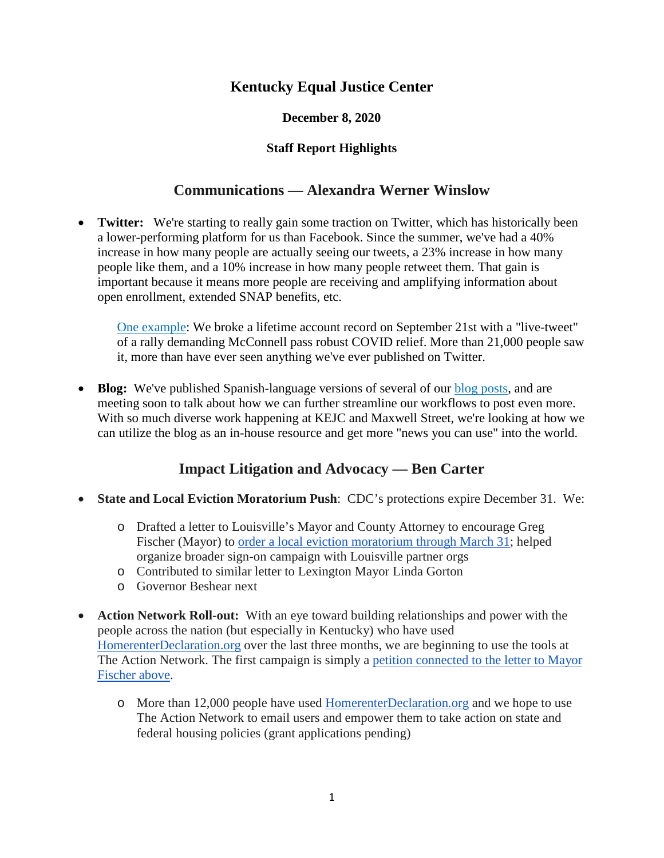## **Kentucky Equal Justice Center**

#### **December 8, 2020**

#### **Staff Report Highlights**

### **Communications — Alexandra Werner Winslow**

• **Twitter:** We're starting to really gain some traction on Twitter, which has historically been a lower-performing platform for us than Facebook. Since the summer, we've had a 40% increase in how many people are actually seeing our tweets, a 23% increase in how many people like them, and a 10% increase in how many people retweet them. That gain is important because it means more people are receiving and amplifying information about open enrollment, extended SNAP benefits, etc.

[One example:](https://twitter.com/KYEqualJustice/status/1308160415713693696) We broke a lifetime account record on September 21st with a "live-tweet" of a rally demanding McConnell pass robust COVID relief. More than 21,000 people saw it, more than have ever seen anything we've ever published on Twitter.

• **Blog:** We've published Spanish-language versions of several of our [blog posts,](https://www.kyequaljustice.org/blog) and are meeting soon to talk about how we can further streamline our workflows to post even more. With so much diverse work happening at KEJC and Maxwell Street, we're looking at how we can utilize the blog as an in-house resource and get more "news you can use" into the world.

### **Impact Litigation and Advocacy — Ben Carter**

- **State and Local Eviction Moratorium Push**: CDC's protections expire December 31. We:
	- o Drafted a letter to Louisville's Mayor and County Attorney to encourage Greg Fischer (Mayor) to <u>order a local eviction moratorium through March 31</u>; helped organize broader sign-on campaign with Louisville partner orgs
	- o Contributed to similar letter to Lexington Mayor Linda Gorton
	- o Governor Beshear next
- **Action Network Roll-out:** With an eye toward building relationships and power with the people across the nation (but especially in Kentucky) who have used [HomerenterDeclaration.org](http://homerenterdeclaration.org/) over the last three months, we are beginning to use the tools at The Action Network. The first campaign is simply a [petition connected to the letter to Mayor](https://actionnetwork.org/petitions/order-an-eviction-moratorium-in-louisville?source=direct_link&)  [Fischer above.](https://actionnetwork.org/petitions/order-an-eviction-moratorium-in-louisville?source=direct_link&)
	- o More than 12,000 people have used [HomerenterDeclaration.org](http://homerenterdeclaration.org/) and we hope to use The Action Network to email users and empower them to take action on state and federal housing policies (grant applications pending)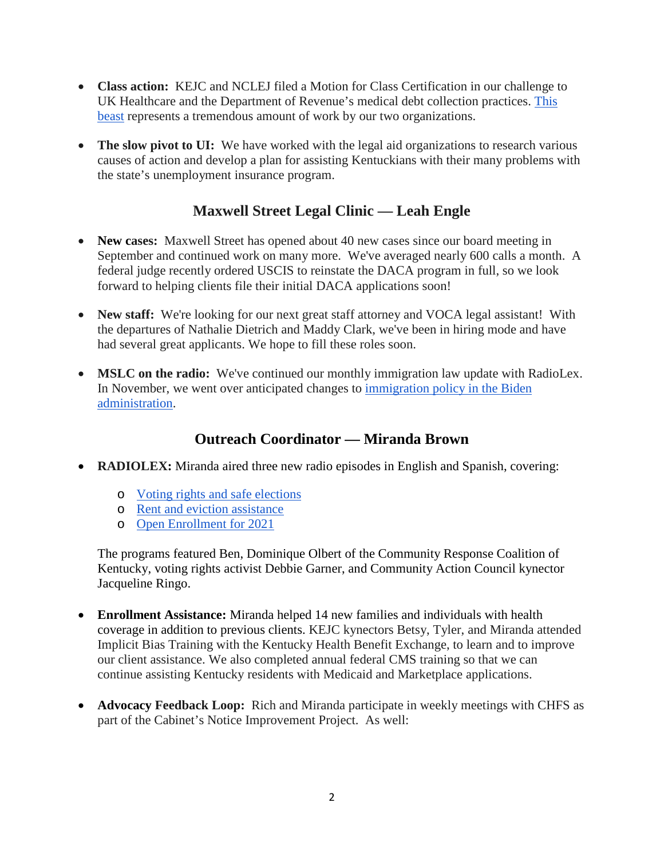- **Class action:** KEJC and NCLEJ filed a Motion for Class Certification in our challenge to UK Healthcare and the Department of Revenue's medical debt collection practices. [This](https://5f301f23-ec36-41bd-8ffd-0c207e64d461.usrfiles.com/ugd/5f301f_d3e89df8ec924c069fd00a1308d95f10.pdf)  [beast](https://5f301f23-ec36-41bd-8ffd-0c207e64d461.usrfiles.com/ugd/5f301f_d3e89df8ec924c069fd00a1308d95f10.pdf) represents a tremendous amount of work by our two organizations.
- **The slow pivot to UI:** We have worked with the legal aid organizations to research various causes of action and develop a plan for assisting Kentuckians with their many problems with the state's unemployment insurance program.

# **Maxwell Street Legal Clinic — Leah Engle**

- **New cases:** Maxwell Street has opened about 40 new cases since our board meeting in September and continued work on many more. We've averaged nearly 600 calls a month. A federal judge recently ordered USCIS to reinstate the DACA program in full, so we look forward to helping clients file their initial DACA applications soon!
- New staff: We're looking for our next great staff attorney and VOCA legal assistant! With the departures of Nathalie Dietrich and Maddy Clark, we've been in hiring mode and have had several great applicants. We hope to fill these roles soon.
- **MSLC on the radio:** We've continued our monthly immigration law update with RadioLex. In November, we went over anticipated changes to immigration [policy in the Biden](https://soundcloud.com/radiolex/rln-maxwell-street-legal-clinic-111120-podcast)  [administration.](https://soundcloud.com/radiolex/rln-maxwell-street-legal-clinic-111120-podcast)

# **Outreach Coordinator — Miranda Brown**

- **RADIOLEX:** Miranda aired three new radio episodes in English and Spanish, covering:
	- o [Voting rights and safe elections](https://soundcloud.com/radiolex/kentucky-equal-justice-radio-episode-20-10-voting-rights-and-safe-elections?in=radiolex/sets/kentucky-equal-justice-radio)
	- o [Rent and eviction assistance](https://soundcloud.com/radiolex/kentucky-equal-justice-radio-episode-20-11-rent-and-eviction-assistance?in=radiolex/sets/kentucky-equal-justice-radio)
	- o [Open Enrollment for 2021](https://soundcloud.com/radiolex/kentucky-equal-justice-radio-episode-20-12-open-enrollment-for-2021?in=radiolex/sets/kentucky-equal-justice-radio)

The programs featured Ben, Dominique Olbert of the Community Response Coalition of Kentucky, voting rights activist Debbie Garner, and Community Action Council kynector Jacqueline Ringo.

- **Enrollment Assistance:** Miranda helped 14 new families and individuals with health coverage in addition to previous clients. KEJC kynectors Betsy, Tyler, and Miranda attended Implicit Bias Training with the Kentucky Health Benefit Exchange, to learn and to improve our client assistance. We also completed annual federal CMS training so that we can continue assisting Kentucky residents with Medicaid and Marketplace applications.
- **Advocacy Feedback Loop:** Rich and Miranda participate in weekly meetings with CHFS as part of the Cabinet's Notice Improvement Project. As well: